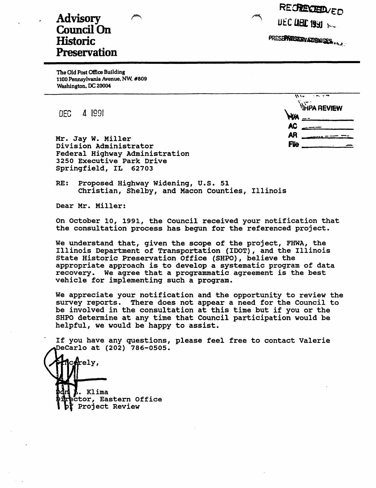RECRECIEDVED UEC DEC 1991 100

PRESE**PRESERVATE& USES.** Uh.A.

# Advisory Council On **Historic Preservation**

The Old Post Office BuJlding 1100 Pennsylvania Avenue. NW. #809 Washington. DC 20004

DEC 4 1991

**WA REVIEW \\\F\\\F\\\\\ AC :cc-** - AR <u>magaan.<br>Filo</u> **flle** ---------------

Mr. Jay w. Miller Division Administrator Federal Highway Administration 3250 Executive Park Drive Springfield, IL 62703

RE: Proposed Highway Widening, U.S. 51 Christian, Shelby, and Macon counties, Illinois

Dear Mr. Miller:

on October 10, 1991, the Council received your notification that the consultation process has begun for the referenced project.

We understand that, given the scope of the project, FHWA, the Illinois Department of Transportation (IDOT), and the Illinois State Historic Preservation Office (SHPO), believe the appropriate approach is to develop a systematic program of data recovery. We agree that a programmatic agreement is the best vehicle for implementing such a program.

We appreciate your notification and the opportunity to review the survey reports. There does not appear a need for the Council to be involved in the consultation at this time but if you or the SHPO determine at any time that Council participation would be helpful, we would be happy to assist.

If you have any questions, please feel free to contact Valerie DeCarlo at (202) 786-0505.

cerely, • Klima ctor, Eastern Office Project Review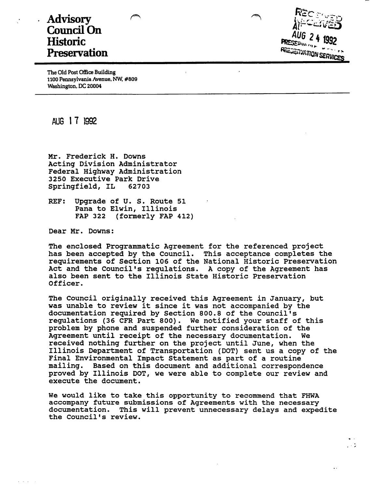# **Advisory Council On Historic Preservation**



 $\mathbf{r}$ 

 $\overline{\phantom{a}}$ 

The Old Post Office Building 1100 Pennsylvania Avenue, Nw. #809 Washington, DC 20004

AUG 17 1992

Mr. Frederick H. Downs Acting Division Administrator Federal Highway Administration 3250 Executive Park Drive<br>Springfield. IL 62703 Springfield, IL

REF: Upgrade of U. S. Route 51 Pana to Elwin, Illinois<br>FAP 322 (formerly FAP) (formerly FAP 412)

Dear Mr. Downs:

The enclosed Programmatic Agreement for the referenced project has been accepted by the Council. This acceptance completes the requirements of Section 106 of the National Historic Preservation Act and the Council's regulations. A copy of the Agreement has also been sent to the Illinois State Historic Preservation Officer.

 $\ddot{\cdot}$ 

The Council originally received this Agreement in January, but was unable to review it since it was not accompanied by the documentation required by Section 800.8 of the Council's regulations (36 CFR Part 800). We notified your staff of this problem by phone and suspended further consideration of the Agreement until receipt of the necessary documentation. We received nothing further on the project until June, when the Illinois Department of Transportation (DOT) sent us a copy of the Final Environmental Impact Statement as part of a routine mailing. Based on this document and additional correspondence proved by Illinois DOT, we were able to complete our review and execute the document.

We would like to take this opportunity to recommend that FHWA accompany future submissions of Agreements with the necessary documentation. This will prevent unnecessary delays and expedite the Council's review.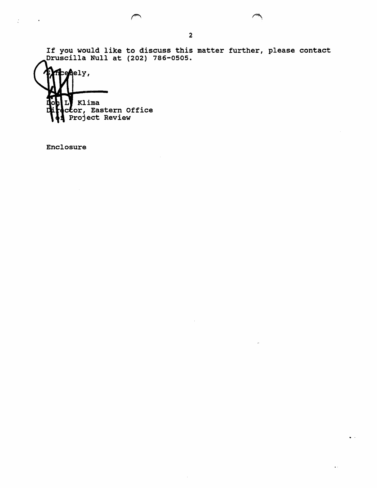If you would like to discuss this matter further, please contact Druscilla Null at (202) 786-0505.

penely, Klima ctor, Eastern Office Project Review

Enclosure

 $\ddot{\zeta}$ 

 $\ddot{\phantom{a}}$ 

 $\sim$   $\sim$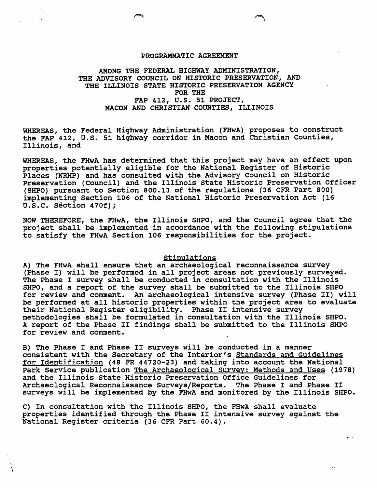#### PROGRAMMATIC AGREEMENT

### AMONG THE FEDERAL HIGHWAY ADMINISTRATION, THE ADVISORY COUNCIL ON HISTORIC PRESERVATION, AND THE ILLINOIS STATE HISTORIC PRESERVATION AGENCY FOR THE FAP 412, U.S. 51 PROJECT, MACON AND CHRISTIAN COUNTIES, ILLINOIS

WHEREAS, the Federal Highway Administration (FHwA) proposes to construct the FAP 412, U.S. 51 highway corridor in Macon and Christian Counties, Illinois, and

WHEREAS, the **FHwA** has determined that this project may have an effect upon properties potentially eligible for the National Register of Historic Places (NRHP) and has consulted with the Advisory Council on Historic Preservation (Council) and the Illinois State Historic Preservation Officer (SHPO) pursuant to Section 800.13 of the regulations (36 CFR Part 800) implementing Section 106 of the National Historic Preservation Act (16 **u.s.c. section 470f);** 

NOW THEREFORE, the FHwA, the Illinois SHPO, and the Council agree that the project shall be implemented in accordance with the following stipulations to satisfy the FHwA Section 106 responsibilities for the project.

#### Stipulations

A) The FHwA shall ensure that an archaeological reconnaissance survey (Phase I) will be performed in all project areas not previously surveyed. The Phase I survey shall be conducted in consultation with the Illinois SHPO, and a report of the survey shall be submitted to the Illinois SHPO for review and comment. An archaeological intensive survey (Phase II) will be performed at all historic properties within the project area to evaluate their National Register eligibility. Phase II intensive survey methodologies shall be formulated in consultation with the Illinois SHPO. A report of the Phase II findings shall be submitted to the Illinois SHPO for review and comment.

B) The Phase I and Phase II surveys will be conducted in a manner consistent with the Secretary of the Interior's standards and Guidelines for Identification (48 FR 44720-23) and taking into account the National Park Service publication The Archaeological survey: Methods and Uses (1978) and the Illinois State Historic Preservation Office Guidelines for Archaeological Reconnaissance Surveys/Reports. The Phase I and Phase II surveys will be implemented by the FHwA and monitored by the Illinois SHPO.

C) In consultation with the Illinois SHPO, the FHwA shall evaluate properties identified through the Phase II intensive survey against the National Register criteria (36 CFR Part 60.4).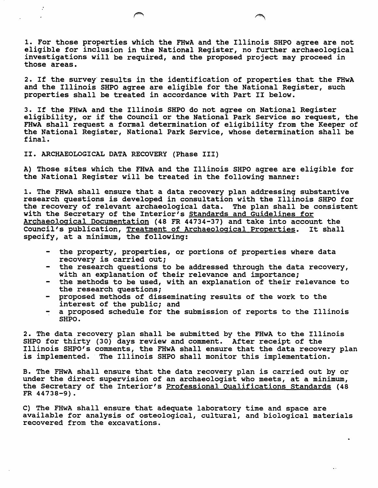1. For those properties which the FHwA and the Illinois SHPO agree are not eligible for inclusion in the National Register, no further archaeological investigations will be required, and the proposed project may proceed in those areas.

2. If the survey results in the identification of properties that the FHwA and the Illinois SHPO agree are eligible for the National Register, such properties shall be treated in accordance with Part II below.

3. If the FHwA and the Illinois SHPO do not agree on National Register eligibility, or if the council or the National Park Service so request, the FHwA shall request a formal determination of eligibility from the Keeper of the National Register, National Park Service, whose determination shall be final.

II. ARCHAEOLOGICAL DATA RECOVERY (Phase III)

A) Those sites which the FHwA and the Illinois SHPO agree are eligible for the National Register will be treated in the following manner:

1. The FHwA shall ensure that a data recovery plan addressing substantive research questions is developed in consultation with the Illinois SHPO for the recovery of relevant archaeological data. The plan shall be consistent with the Secretary of the Interior's standards and Guidelines for Archaeological Documentation (48 FR 44734-37) and take into account the Council's publication, Treatment of Archaeological Properties. It shall specify, at a minimum, the following:

- the property, properties, or portions of properties where data recovery is carried out;
- the research questions to be addressed through the data recovery, with an explanation of their relevance and importance;
- the methods to be used, with an explanation of their relevance to the research questions;
- proposed methods of disseminating results of the work to the interest of the public; and
- a proposed schedule for the submission of reports to the Illinois **SHPO.**

2. The data recovery plan shall be submitted by the **FHwA** to the Illinois 2. The data recovery pian shart be submitted by the rhwn to the first Illinois SHPO's comments, the FHwA shall ensure that the data recovery plan is implemented. The Illinois SHPO shall monitor this implementation.

B. The FHwA shall ensure that the data recovery plan is carried out by or under the direct supervision of an archaeologist who meets, at a minimum, the Secretary of the Interior's Professional Qualifications Standards (48 **FR 44738-9).** 

C) The FHwA shall ensure that adequate laboratory time and space are available for analysis of osteological, cultural, and biological materials recovered from the excavations.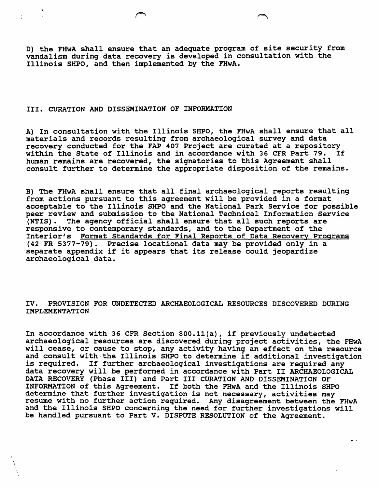D) the FHwA shall ensure that an adequate program of site security from vandalism during data recovery is developed in consultation with the Illinois SHPO, and then implemented by the FHwA.

#### III. CURATION AND DISSEMINATION OF INFORMATION

A) In consultation with the Illinois SHPO, the FHwA shall ensure that all materials and records resulting from archaeological survey and data recovery conducted for the FAP 407 Project are curated at a repository<br>within the State of Illinois and in accordance with 36 CFR Part 79. If within the State of Illinois and in accordance with 36 CFR Part 79. human remains are recovered, the signatories to this Agreement shall consult further to determine the appropriate disposition of the remains.

B) The FHwA shall ensure that all final archaeological reports resulting from actions pursuant to this agreement will be provided in a format acceptable to the Illinois SHPO and the National Park Service for possible peer review and submission to the National Technical Information Service (NTIS). The agency official shall ensure that all such reports are responsive to contemporary standards, and to the Department of the Interior's Format Standards for Final Reports of Data Recovery Programs (42 FR 5377-79). Precise locational data may be provided only in a separate appendix if it appears that its release could jeopardize archaeological data.

**IV. PROVISION FOR UNDETECTED ARCHAEOLOGICAL RESOURCES DISCOVERED DURING IMPLEMENTATION** 

In accordance with 36 CFR Section 800.ll(a), if previously undetected archaeological resources are discovered during project activities, the **FHwA**  will cease, or cause to stop, any activity having an effect on the resource and consult with the Illinois SHPO to determine if additional investigation is required. If further archaeological investigations are required any data recovery will be performed in accordance with Part II ARCHAEOLOGICAL DATA RECOVERY (Phase III) and Part III CURATION AND DISSEMINATION OF INFORMATION of this Agreement. If both the FHwA and the Illinois SHPO determine that further investigation is not necessary, activities may resume with no further action required. Any disagreement between the FHwA and the Illinois SHPO concerning the need for further investigations will be handled pursuant to Part V. DISPUTE RESOLUTION of the Agreement.